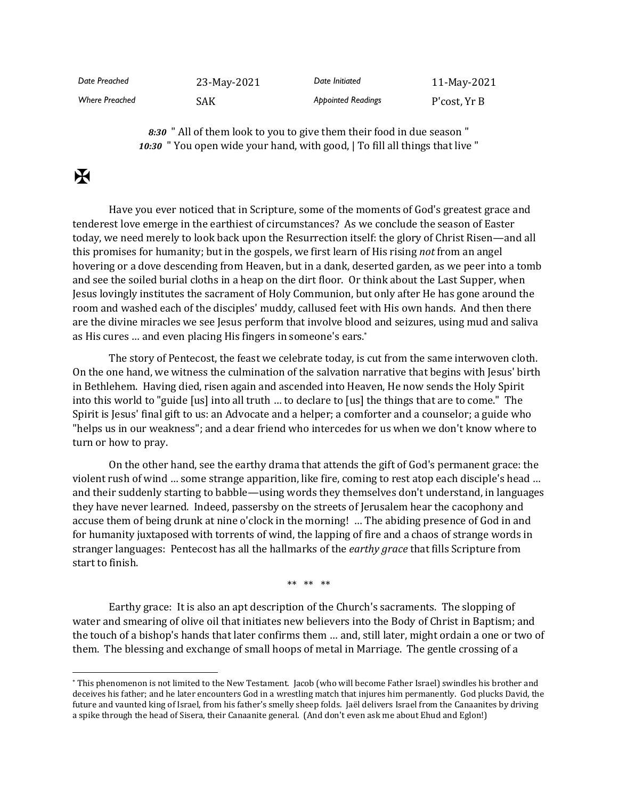| Date Preached         | 23-May-2021 | Date Initiated            | 11-May-2021  |
|-----------------------|-------------|---------------------------|--------------|
| <b>Where Preached</b> | SAK         | <b>Appointed Readings</b> | P'cost, Yr B |

*8:30* " All of them look to you to give them their food in due season " *10:30* " You open wide your hand, with good, | To fill all things that live "

## $\mathbf F$

Have you ever noticed that in Scripture, some of the moments of God's greatest grace and tenderest love emerge in the earthiest of circumstances? As we conclude the season of Easter today, we need merely to look back upon the Resurrection itself: the glory of Christ Risen—and all this promises for humanity; but in the gospels, we first learn of His rising *not* from an angel hovering or a dove descending from Heaven, but in a dank, deserted garden, as we peer into a tomb and see the soiled burial cloths in a heap on the dirt floor. Or think about the Last Supper, when Jesus lovingly institutes the sacrament of Holy Communion, but only after He has gone around the room and washed each of the disciples' muddy, callused feet with His own hands. And then there are the divine miracles we see Jesus perform that involve blood and seizures, using mud and saliva as His cures … and even placing His fingers in someone's ears.\*

The story of Pentecost, the feast we celebrate today, is cut from the same interwoven cloth. On the one hand, we witness the culmination of the salvation narrative that begins with Jesus' birth in Bethlehem. Having died, risen again and ascended into Heaven, He now sends the Holy Spirit into this world to "guide [us] into all truth … to declare to [us] the things that are to come." The Spirit is Jesus' final gift to us: an Advocate and a helper; a comforter and a counselor; a guide who "helps us in our weakness"; and a dear friend who intercedes for us when we don't know where to turn or how to pray.

On the other hand, see the earthy drama that attends the gift of God's permanent grace: the violent rush of wind … some strange apparition, like fire, coming to rest atop each disciple's head … and their suddenly starting to babble—using words they themselves don't understand, in languages they have never learned. Indeed, passersby on the streets of Jerusalem hear the cacophony and accuse them of being drunk at nine o'clock in the morning! … The abiding presence of God in and for humanity juxtaposed with torrents of wind, the lapping of fire and a chaos of strange words in stranger languages: Pentecost has all the hallmarks of the *earthy grace* that fills Scripture from start to finish.

\*\* \*\* \*\*

Earthy grace: It is also an apt description of the Church's sacraments. The slopping of water and smearing of olive oil that initiates new believers into the Body of Christ in Baptism; and the touch of a bishop's hands that later confirms them … and, still later, might ordain a one or two of them. The blessing and exchange of small hoops of metal in Marriage. The gentle crossing of a

<sup>\*</sup> This phenomenon is not limited to the New Testament. Jacob (who will become Father Israel) swindles his brother and deceives his father; and he later encounters God in a wrestling match that injures him permanently. God plucks David, the future and vaunted king of Israel, from his father's smelly sheep folds. Jaël delivers Israel from the Canaanites by driving a spike through the head of Sisera, their Canaanite general. (And don't even ask me about Ehud and Eglon!)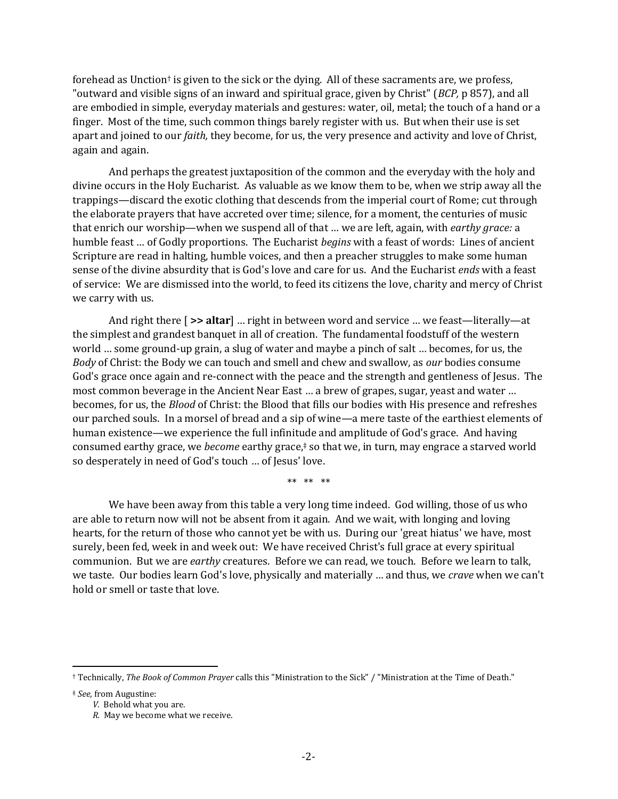forehead as Unction<sup>†</sup> is given to the sick or the dying. All of these sacraments are, we profess, "outward and visible signs of an inward and spiritual grace, given by Christ" (*BCP,* p 857), and all are embodied in simple, everyday materials and gestures: water, oil, metal; the touch of a hand or a finger. Most of the time, such common things barely register with us. But when their use is set apart and joined to our *faith,* they become, for us, the very presence and activity and love of Christ, again and again.

And perhaps the greatest juxtaposition of the common and the everyday with the holy and divine occurs in the Holy Eucharist. As valuable as we know them to be, when we strip away all the trappings—discard the exotic clothing that descends from the imperial court of Rome; cut through the elaborate prayers that have accreted over time; silence, for a moment, the centuries of music that enrich our worship—when we suspend all of that … we are left, again, with *earthy grace:* a humble feast … of Godly proportions. The Eucharist *begins* with a feast of words: Lines of ancient Scripture are read in halting, humble voices, and then a preacher struggles to make some human sense of the divine absurdity that is God's love and care for us. And the Eucharist *ends* with a feast of service: We are dismissed into the world, to feed its citizens the love, charity and mercy of Christ we carry with us.

And right there [ **>> altar**] … right in between word and service … we feast—literally—at the simplest and grandest banquet in all of creation. The fundamental foodstuff of the western world … some ground-up grain, a slug of water and maybe a pinch of salt … becomes, for us, the *Body* of Christ: the Body we can touch and smell and chew and swallow, as *our* bodies consume God's grace once again and re-connect with the peace and the strength and gentleness of Jesus. The most common beverage in the Ancient Near East … a brew of grapes, sugar, yeast and water … becomes, for us, the *Blood* of Christ: the Blood that fills our bodies with His presence and refreshes our parched souls. In a morsel of bread and a sip of wine—a mere taste of the earthiest elements of human existence—we experience the full infinitude and amplitude of God's grace. And having consumed earthy grace, we *become* earthy grace,‡ so that we, in turn, may engrace a starved world so desperately in need of God's touch … of Jesus' love.

\*\* \*\* \*\*

We have been away from this table a very long time indeed. God willing, those of us who are able to return now will not be absent from it again. And we wait, with longing and loving hearts, for the return of those who cannot yet be with us. During our 'great hiatus' we have, most surely, been fed, week in and week out: We have received Christ's full grace at every spiritual communion. But we are *earthy* creatures. Before we can read, we touch. Before we learn to talk, we taste. Our bodies learn God's love, physically and materially … and thus, we *crave* when we can't hold or smell or taste that love.

† Technically, *The Book of Common Prayer* calls this "Ministration to the Sick" / "Ministration at the Time of Death."

‡ *See,* from Augustine:

*V.* Behold what you are.

*R.* May we become what we receive.